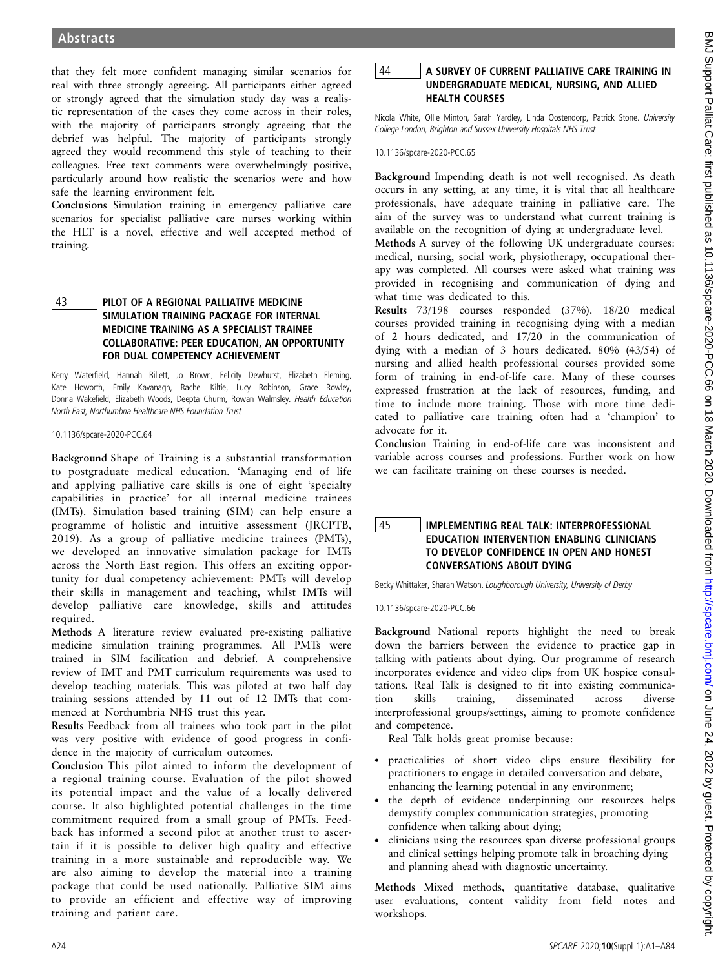that they felt more confident managing similar scenarios for real with three strongly agreeing. All participants either agreed or strongly agreed that the simulation study day was a realistic representation of the cases they come across in their roles, with the majority of participants strongly agreeing that the debrief was helpful. The majority of participants strongly agreed they would recommend this style of teaching to their colleagues. Free text comments were overwhelmingly positive, particularly around how realistic the scenarios were and how safe the learning environment felt.

Conclusions Simulation training in emergency palliative care scenarios for specialist palliative care nurses working within the HLT is a novel, effective and well accepted method of training.

## 43 **PILOT OF A REGIONAL PALLIATIVE MEDICINE** SIMULATION TRAINING PACKAGE FOR INTERNAL MEDICINE TRAINING AS A SPECIALIST TRAINEE COLLABORATIVE: PEER EDUCATION, AN OPPORTUNITY FOR DUAL COMPETENCY ACHIEVEMENT

Kerry Waterfield, Hannah Billett, Jo Brown, Felicity Dewhurst, Elizabeth Fleming, Kate Howorth, Emily Kavanagh, Rachel Kiltie, Lucy Robinson, Grace Rowley, Donna Wakefield, Elizabeth Woods, Deepta Churm, Rowan Walmsley. Health Education North East, Northumbria Healthcare NHS Foundation Trust

#### 10.1136/spcare-2020-PCC.64

Background Shape of Training is a substantial transformation to postgraduate medical education. 'Managing end of life and applying palliative care skills is one of eight 'specialty capabilities in practice' for all internal medicine trainees (IMTs). Simulation based training (SIM) can help ensure a programme of holistic and intuitive assessment (JRCPTB, 2019). As a group of palliative medicine trainees (PMTs), we developed an innovative simulation package for IMTs across the North East region. This offers an exciting opportunity for dual competency achievement: PMTs will develop their skills in management and teaching, whilst IMTs will develop palliative care knowledge, skills and attitudes required.

Methods A literature review evaluated pre-existing palliative medicine simulation training programmes. All PMTs were trained in SIM facilitation and debrief. A comprehensive review of IMT and PMT curriculum requirements was used to develop teaching materials. This was piloted at two half day training sessions attended by 11 out of 12 IMTs that commenced at Northumbria NHS trust this year.

Results Feedback from all trainees who took part in the pilot was very positive with evidence of good progress in confidence in the majority of curriculum outcomes.

Conclusion This pilot aimed to inform the development of a regional training course. Evaluation of the pilot showed its potential impact and the value of a locally delivered course. It also highlighted potential challenges in the time commitment required from a small group of PMTs. Feedback has informed a second pilot at another trust to ascertain if it is possible to deliver high quality and effective training in a more sustainable and reproducible way. We are also aiming to develop the material into a training package that could be used nationally. Palliative SIM aims to provide an efficient and effective way of improving training and patient care.

#### 44 A SURVEY OF CURRENT PALLIATIVE CARE TRAINING IN UNDERGRADUATE MEDICAL, NURSING, AND ALLIED HEALTH COURSES

Nicola White, Ollie Minton, Sarah Yardley, Linda Oostendorp, Patrick Stone. University College London, Brighton and Sussex University Hospitals NHS Trust

10.1136/spcare-2020-PCC.65

Background Impending death is not well recognised. As death occurs in any setting, at any time, it is vital that all healthcare professionals, have adequate training in palliative care. The aim of the survey was to understand what current training is available on the recognition of dying at undergraduate level.

Methods A survey of the following UK undergraduate courses: medical, nursing, social work, physiotherapy, occupational therapy was completed. All courses were asked what training was provided in recognising and communication of dying and what time was dedicated to this.

Results 73/198 courses responded (37%). 18/20 medical courses provided training in recognising dying with a median of 2 hours dedicated, and 17/20 in the communication of dying with a median of 3 hours dedicated. 80% (43/54) of nursing and allied health professional courses provided some form of training in end-of-life care. Many of these courses expressed frustration at the lack of resources, funding, and time to include more training. Those with more time dedicated to palliative care training often had a 'champion' to advocate for it.

Conclusion Training in end-of-life care was inconsistent and variable across courses and professions. Further work on how we can facilitate training on these courses is needed.

### 45 IMPLEMENTING REAL TALK: INTERPROFESSIONAL EDUCATION INTERVENTION ENABLING CLINICIANS TO DEVELOP CONFIDENCE IN OPEN AND HONEST CONVERSATIONS ABOUT DYING

Becky Whittaker, Sharan Watson. Loughborough University, University of Derby

10.1136/spcare-2020-PCC.66

Background National reports highlight the need to break down the barriers between the evidence to practice gap in talking with patients about dying. Our programme of research incorporates evidence and video clips from UK hospice consultations. Real Talk is designed to fit into existing communication skills training, disseminated across diverse interprofessional groups/settings, aiming to promote confidence and competence.

Real Talk holds great promise because:

- . practicalities of short video clips ensure flexibility for practitioners to engage in detailed conversation and debate, enhancing the learning potential in any environment;
- . the depth of evidence underpinning our resources helps demystify complex communication strategies, promoting confidence when talking about dying;
- . clinicians using the resources span diverse professional groups and clinical settings helping promote talk in broaching dying and planning ahead with diagnostic uncertainty.

Methods Mixed methods, quantitative database, qualitative user evaluations, content validity from field notes and workshops.